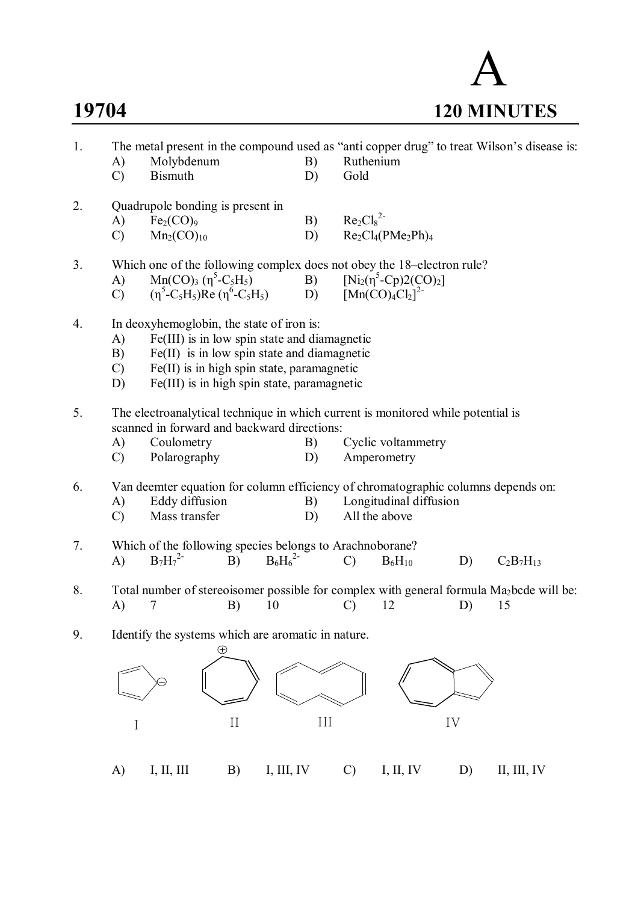# A **19704 120 MINUTES**

| 1. | A)<br>$\mathcal{C}$                                                                             | Molybdenum<br><b>Bismuth</b>                                                                                                                                                                                                                                                                                                                              |          | B)<br>D)   | Ruthenium<br>Gold                                                                                                                  |                       |    | The metal present in the compound used as "anti copper drug" to treat Wilson's disease is:                 |  |  |
|----|-------------------------------------------------------------------------------------------------|-----------------------------------------------------------------------------------------------------------------------------------------------------------------------------------------------------------------------------------------------------------------------------------------------------------------------------------------------------------|----------|------------|------------------------------------------------------------------------------------------------------------------------------------|-----------------------|----|------------------------------------------------------------------------------------------------------------|--|--|
| 2. | A)<br>$\mathcal{C}$                                                                             | Quadrupole bonding is present in<br>Fe <sub>2</sub> (CO) <sub>9</sub><br>Mn <sub>2</sub> (CO) <sub>10</sub>                                                                                                                                                                                                                                               |          | B)<br>D)   | $Re2Cl82$                                                                                                                          | $Re_2Cl_4(PMe_2Ph)_4$ |    |                                                                                                            |  |  |
| 3. | A)<br>$\mathcal{C}$                                                                             | Which one of the following complex does not obey the 18-electron rule?<br>Mn(CO) <sub>3</sub> ( $\eta^5$ -C <sub>5</sub> H <sub>5</sub> )<br>( $\eta^5$ -C <sub>5</sub> H <sub>5</sub> )<br>( $\eta^5$ -C <sub>5</sub> H <sub>5</sub> )<br>(Mn(CO) <sub>4</sub> Cl <sub>2</sub> ] <sup>2</sup><br><br>(Mn(CO) <sub>4</sub> Cl <sub>2</sub> ] <sup>2</sup> |          |            |                                                                                                                                    |                       |    |                                                                                                            |  |  |
| 4. | A)<br>B)<br>$\mathcal{C}$<br>D)                                                                 | In deoxyhemoglobin, the state of iron is:<br>Fe(III) is in low spin state and diamagnetic<br>$Fe(II)$ is in low spin state and diamagnetic<br>Fe(II) is in high spin state, paramagnetic<br>Fe(III) is in high spin state, paramagnetic                                                                                                                   |          |            |                                                                                                                                    |                       |    |                                                                                                            |  |  |
| 5. | A)<br>$\mathcal{C}$                                                                             | scanned in forward and backward directions:<br>Coulometry<br>Polarography                                                                                                                                                                                                                                                                                 |          |            | The electroanalytical technique in which current is monitored while potential is<br>Cyclic voltammetry<br>B)<br>Amperometry        |                       |    |                                                                                                            |  |  |
| 6. | A)<br>$\mathcal{C}$                                                                             | Eddy diffusion<br>Mass transfer                                                                                                                                                                                                                                                                                                                           |          |            | Van deemter equation for column efficiency of chromatographic columns depends on:<br>Longitudinal diffusion<br>B)<br>All the above |                       |    |                                                                                                            |  |  |
| 7. | A)                                                                                              | Which of the following species belongs to Arachnoborane?<br>$B_7H_7^{2-}$                                                                                                                                                                                                                                                                                 | B)       | $B_6H_6^2$ | $\mathcal{C}$                                                                                                                      | $B_6H_{10}$           | D) | $C_2B_7H_{13}$                                                                                             |  |  |
| 8. | A)                                                                                              | 7                                                                                                                                                                                                                                                                                                                                                         | B)<br>10 |            | $\mathcal{C}$                                                                                                                      | 12                    | D) | Total number of stereoisomer possible for complex with general formula Ma <sub>2</sub> bcde will be:<br>15 |  |  |
| 9. | Identify the systems which are aromatic in nature.<br>⊕<br>III<br>$\rm II$<br>IV<br>$\mathbf I$ |                                                                                                                                                                                                                                                                                                                                                           |          |            |                                                                                                                                    |                       |    |                                                                                                            |  |  |
|    | A)                                                                                              | I, II, III                                                                                                                                                                                                                                                                                                                                                | B)       | I, III, IV | $\mathcal{C}$                                                                                                                      | I, II, IV             | D) | II, III, IV                                                                                                |  |  |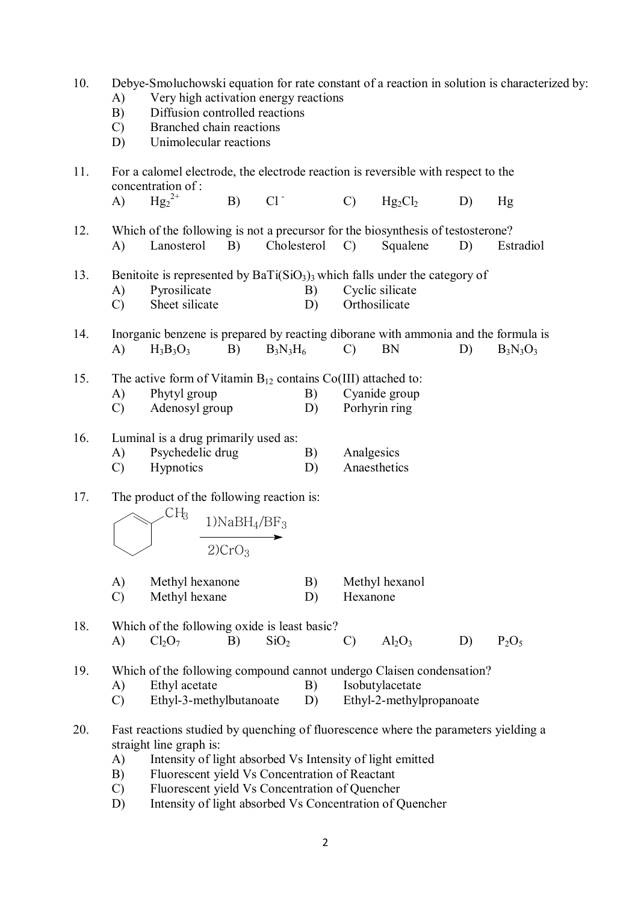| 10. | Debye-Smoluchowski equation for rate constant of a reaction in solution is characterized by:<br>Very high activation energy reactions<br>A)<br>Diffusion controlled reactions<br>B)<br>Branched chain reactions<br>$\mathcal{C}$<br>Unimolecular reactions<br>D)                                                                                                               |  |  |  |  |  |  |
|-----|--------------------------------------------------------------------------------------------------------------------------------------------------------------------------------------------------------------------------------------------------------------------------------------------------------------------------------------------------------------------------------|--|--|--|--|--|--|
| 11. | For a calomel electrode, the electrode reaction is reversible with respect to the<br>concentration of:                                                                                                                                                                                                                                                                         |  |  |  |  |  |  |
|     | ${Hg_2}^{2+}$<br>$Cl^{\dagger}$<br>A)<br>B)<br>$\mathcal{C}$<br>$Hg_2Cl_2$<br>D)<br>Hg                                                                                                                                                                                                                                                                                         |  |  |  |  |  |  |
| 12. | Which of the following is not a precursor for the biosynthesis of testosterone?<br>B)<br>Cholesterol<br>A)<br>Lanosterol<br>Squalene<br>D)<br>Estradiol<br>$\mathcal{C}$                                                                                                                                                                                                       |  |  |  |  |  |  |
| 13. | Benitoite is represented by $BaTi(SiO3)3$ which falls under the category of<br>Pyrosilicate<br>Cyclic silicate<br>A)<br>B)<br>Sheet silicate<br>Orthosilicate<br>$\mathcal{C}$<br>D)                                                                                                                                                                                           |  |  |  |  |  |  |
| 14. | Inorganic benzene is prepared by reacting diborane with ammonia and the formula is<br><b>BN</b><br>A)<br>$H_3B_3O_3$<br>B)<br>$B_3N_3H_6$<br>$\mathcal{C}$<br>$B_3N_3O_3$<br>D)                                                                                                                                                                                                |  |  |  |  |  |  |
| 15. | The active form of Vitamin $B_{12}$ contains $Co(III)$ attached to:<br>Phytyl group<br>A)<br>B)<br>Cyanide group<br>Porhyrin ring<br>Adenosyl group<br>$\mathcal{C}$<br>D)                                                                                                                                                                                                     |  |  |  |  |  |  |
| 16. | Luminal is a drug primarily used as:<br>Psychedelic drug<br>Analgesics<br>A)<br>B)<br>Anaesthetics<br><b>Hypnotics</b><br>$\mathcal{C}$<br>D)                                                                                                                                                                                                                                  |  |  |  |  |  |  |
| 17. | The product of the following reaction is:<br>CH <sub>3</sub><br>$1)$ NaB $H_4$ /BF <sub>3</sub><br>2)CrO <sub>3</sub>                                                                                                                                                                                                                                                          |  |  |  |  |  |  |
|     | Methyl hexanone<br>B)<br>Methyl hexanol<br>A)<br>$\mathcal{C}$<br>Methyl hexane<br>D)<br>Hexanone                                                                                                                                                                                                                                                                              |  |  |  |  |  |  |
| 18. | Which of the following oxide is least basic?<br>SiO <sub>2</sub><br>$Al_2O_3$<br>Cl <sub>2</sub> O <sub>7</sub><br>B)<br>D)<br>$P_2O_5$<br>A)<br>$\mathcal{C}$                                                                                                                                                                                                                 |  |  |  |  |  |  |
| 19. | Which of the following compound cannot undergo Claisen condensation?<br>Ethyl acetate<br>Isobutylacetate<br>B)<br>A)<br>Ethyl-3-methylbutanoate<br>Ethyl-2-methylpropanoate<br>D)<br>$\mathcal{C}$                                                                                                                                                                             |  |  |  |  |  |  |
| 20. | Fast reactions studied by quenching of fluorescence where the parameters yielding a<br>straight line graph is:<br>A)<br>Intensity of light absorbed Vs Intensity of light emitted<br>Fluorescent yield Vs Concentration of Reactant<br>B)<br>Fluorescent yield Vs Concentration of Quencher<br>$\mathcal{C}$<br>Intensity of light absorbed Vs Concentration of Quencher<br>D) |  |  |  |  |  |  |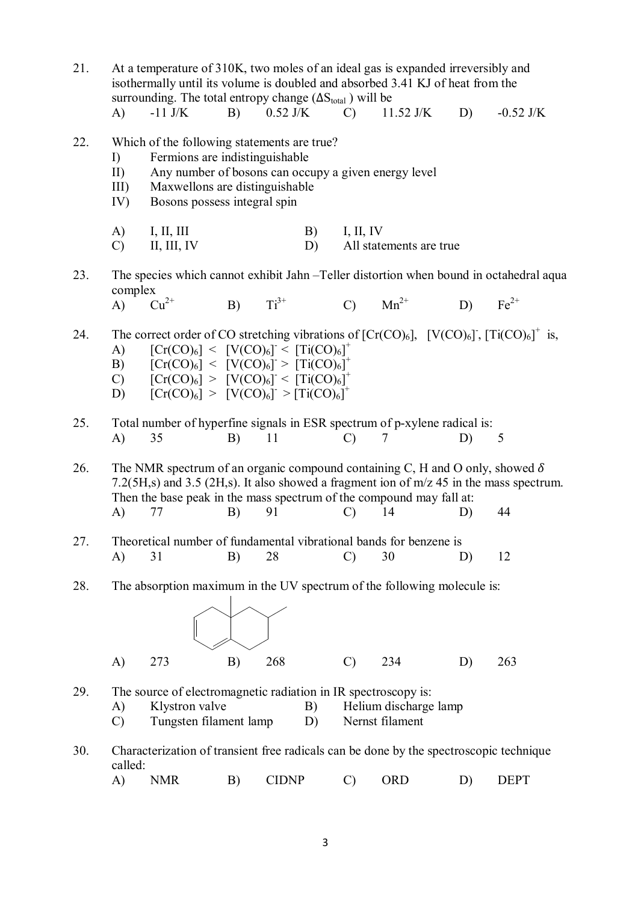21. At a temperature of 310K, two moles of an ideal gas is expanded irreversibly and isothermally until its volume is doubled and absorbed 3.41 KJ of heat from the surrounding. The total entropy change  $(\Delta S_{total})$  will be<br>A) -11 J/K B) 0.52 J/K C) 11

- A) -11 J/K B) 0.52 J/K C) 11.52 J/K D) -0.52 J/K
- 22. Which of the following statements are true?
	- I) Fermions are indistinguishable
	- II) Any number of bosons can occupy a given energy level
	- III) Maxwellons are distinguishable
	- IV) Bosons possess integral spin
	- A) I, II, III B) I, II, IV
	- C) II, III, IV D) All statements are true

23. The species which cannot exhibit Jahn –Teller distortion when bound in octahedral aqua complex<br>A)  $Cu^{2+}$ A)  $Cu^{2+}$  B)  $Ti^{3+}$  C)  $Mn^{2+}$  D)  $Fe^{2+}$ 

24. The correct order of CO stretching vibrations of  $[Cr(CO)_6]$ ,  $[V(CO)_6]$ ,  $[Ti(CO)_6]^+$  is, A)  $[Cr(CO)_6] < [V(CO)_6] < [Ti(CO)_6]^+$ 

- B)  $[Cr(CO)_6] < [V(CO)_6] > [Ti(CO)_6]^+$
- C)  $[Cr(CO)_6] > [V(CO)_6] < [Ti(CO)_6]$ <sup>+</sup>
- D)  $[Cr(CO)_6] > [V(CO)_6] > [Ti(CO)_6]^+$
- 25. Total number of hyperfine signals in ESR spectrum of p-xylene radical is: A) 35 B) 11 C) 7 D) 5

26. The NMR spectrum of an organic compound containing C, H and O only, showed  $\delta$ 7.2(5H,s) and 3.5 (2H,s). It also showed a fragment ion of m/z 45 in the mass spectrum. Then the base peak in the mass spectrum of the compound may fall at: A) 77 B) 91 C) 14 D) 44

- 27. Theoretical number of fundamental vibrational bands for benzene is A) 31 B) 28 C) 30 D) 12
- 28. The absorption maximum in the UV spectrum of the following molecule is:

|              | $(\bigtimes)$ |  |           |    |     |
|--------------|---------------|--|-----------|----|-----|
| $\mathbf{A}$ | 273 B) 268    |  | $(C)$ 234 | D) | 263 |

- 29. The source of electromagnetic radiation in IR spectroscopy is:
	- A) Klystron valve B) Helium discharge lamp
	- C) Tungsten filament lamp D) Nernst filament
- 30. Characterization of transient free radicals can be done by the spectroscopic technique called:
	- A) NMR B) CIDNP C) ORD D) DEPT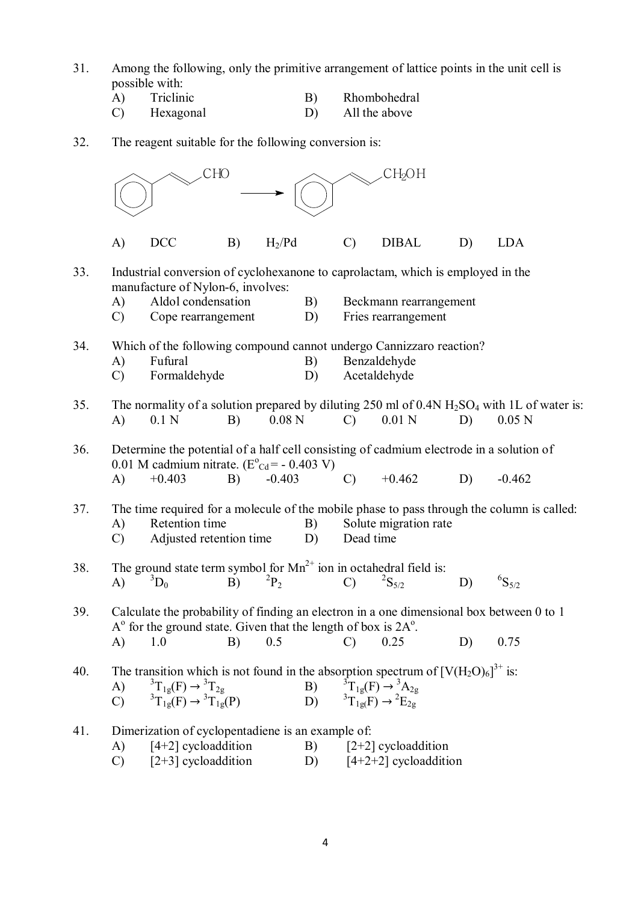- 31. Among the following, only the primitive arrangement of lattice points in the unit cell is possible with:<br>A) Triclinic<br>C) Hexagona
	- Triclinic B) Rhombohedral<br>Hexagonal D) All the above
	- All the above
- 32. The reagent suitable for the following conversion is:

|     | CHO                 |                                                                                                     |    | CH2OH             |          |               |                                                                                                                                                                                    |    |                                                                                                                     |
|-----|---------------------|-----------------------------------------------------------------------------------------------------|----|-------------------|----------|---------------|------------------------------------------------------------------------------------------------------------------------------------------------------------------------------------|----|---------------------------------------------------------------------------------------------------------------------|
|     | $\mathbf{A}$        | <b>DCC</b>                                                                                          | B) | $H_2$ /Pd         |          | $\mathcal{C}$ | <b>DIBAL</b>                                                                                                                                                                       | D) | <b>LDA</b>                                                                                                          |
| 33. | A)<br>$\mathcal{C}$ | manufacture of Nylon-6, involves:<br>Aldol condensation<br>Cope rearrangement                       |    |                   | B)<br>D) |               | Industrial conversion of cyclohexanone to caprolactam, which is employed in the<br>Beckmann rearrangement<br>Fries rearrangement                                                   |    |                                                                                                                     |
| 34. | A)<br>$\mathcal{C}$ | Fufural<br>Formaldehyde                                                                             |    |                   | B)<br>D) |               | Which of the following compound cannot undergo Cannizzaro reaction?<br>Benzaldehyde<br>Acetaldehyde                                                                                |    |                                                                                                                     |
| 35. | A)                  | 0.1 <sub>N</sub>                                                                                    | B) | 0.08 <sub>N</sub> |          | $\mathcal{C}$ | $0.01$ N                                                                                                                                                                           | D) | The normality of a solution prepared by diluting 250 ml of 0.4N $H_2SO_4$ with 1L of water is:<br>0.05 <sub>N</sub> |
| 36. | $\bf{A}$            | 0.01 M cadmium nitrate. $(E^{\circ}_{Cd} = -0.403 V)$<br>$+0.403$                                   | B) | $-0.403$          |          | $\mathcal{C}$ | Determine the potential of a half cell consisting of cadmium electrode in a solution of<br>$+0.462$                                                                                | D) | $-0.462$                                                                                                            |
| 37. | A)<br>$\mathcal{C}$ | Retention time<br>Adjusted retention time                                                           |    |                   | B)<br>D) | Dead time     | Solute migration rate                                                                                                                                                              |    | The time required for a molecule of the mobile phase to pass through the column is called:                          |
| 38. | A)                  | The ground state term symbol for $Mn^{2+}$ ion in octahedral field is:<br>${}^3D_0$                 | B) | $^{2}P_{2}$       |          | $\mathcal{C}$ | ${}^{2}S_{5/2}$                                                                                                                                                                    | D) | ${}^{6}S_{5/2}$                                                                                                     |
| 39. |                     | $A^{\circ}$ for the ground state. Given that the length of box is $2A^{\circ}$ .                    |    |                   |          |               | Calculate the probability of finding an electron in a one dimensional box between 0 to 1                                                                                           |    |                                                                                                                     |
|     |                     | A) 1.0 B) 0.5 C) 0.25                                                                               |    |                   |          |               |                                                                                                                                                                                    | D) | 0.75                                                                                                                |
| 40. | A)<br>$\mathcal{C}$ | ${}^{3}T_{1g}(F) \rightarrow {}^{3}T_{2g}$<br>${}^{3}T_{1g}(F) \rightarrow {}^{3}T_{1g}(P)$         |    |                   | B)<br>D) |               | The transition which is not found in the absorption spectrum of $[V(H_2O)_6]^{3+}$ is:<br>${}^{3}T_{1g}(F) \rightarrow {}^{3}A_{2g}$<br>${}^{3}T_{1g}(F) \rightarrow {}^{2}E_{2g}$ |    |                                                                                                                     |
| 41. | A)<br>$\mathcal{C}$ | Dimerization of cyclopentadiene is an example of:<br>$[4+2]$ cycloaddition<br>$[2+3]$ cycloaddition |    |                   | B)<br>D) |               | $[2+2]$ cycloaddition<br>$[4+2+2]$ cycloaddition                                                                                                                                   |    |                                                                                                                     |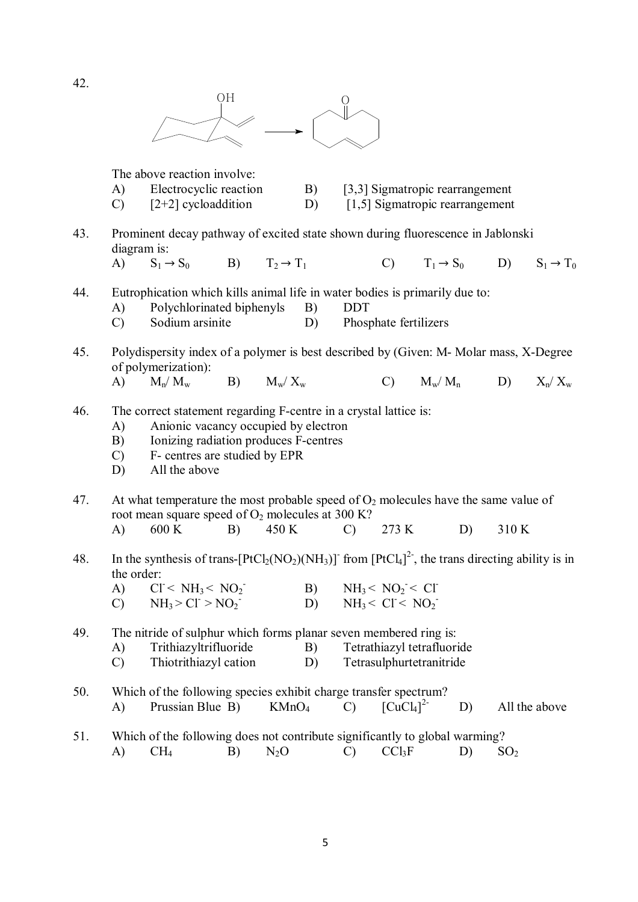

The above reaction involve:

- A) Electrocyclic reaction B) [3,3] Sigmatropic rearrangement
- C)  $[2+2]$  cycloaddition D)  $[1,5]$  Sigmatropic rearrangement
- 43. Prominent decay pathway of excited state shown during fluorescence in Jablonski diagram is:
	- A)  $S_1 \rightarrow S_0$  B)  $T_2 \rightarrow T_1$  C)  $T_1 \rightarrow S_0$  D)  $S_1 \rightarrow T_0$
- 44. Eutrophication which kills animal life in water bodies is primarily due to:
	- A) Polychlorinated biphenyls B) DDT<br>
	C) Sodium arsinite D) Phos
	- C) Sodium arsinite D) Phosphate fertilizers
- 45. Polydispersity index of a polymer is best described by (Given: M- Molar mass, X-Degree of polymerization):
	- A)  $M_n/M_w$  B)  $M_w/X_w$  C)  $M_w/M_n$  D)  $X_n/X_w$
- 46. The correct statement regarding F-centre in a crystal lattice is:
	- A) Anionic vacancy occupied by electron
	- B) Ionizing radiation produces F-centres
	- C) F- centres are studied by EPR
	- D) All the above
- 47. At what temperature the most probable speed of  $O_2$  molecules have the same value of root mean square speed of  $O_2$  molecules at 300 K?
	- A) 600 K B) 450 K C) 273 K D) 310 K
- 48. In the synthesis of trans- $[PtCl_2(NO_2)(NH_3)]$  from  $[PtCl_4]^2$ , the trans directing ability is in the order:
	- A)  $CI < NH_3 < NO_2$  $-B)$   $NH_3 < NO_2 < Cl$ C)  $NH_3 > Cl > NO_2$  $-D)$   $NH_3 < Cl < NO_2$

49. The nitride of sulphur which forms planar seven membered ring is:

- A) Trithiazyltrifluoride B) Tetrathiazyl tetrafluoride
- C) Thiotrithiazyl cation D) Tetrasulphurtetranitride
- 50. Which of the following species exhibit charge transfer spectrum? A) Prussian Blue B)  $KMnO_4$  C)  $[CuCl_4]^2$ D) All the above
- 51. Which of the following does not contribute significantly to global warming? A) CH<sub>4</sub> B) N<sub>2</sub>O C) CCl<sub>3</sub>F D) SO<sub>2</sub>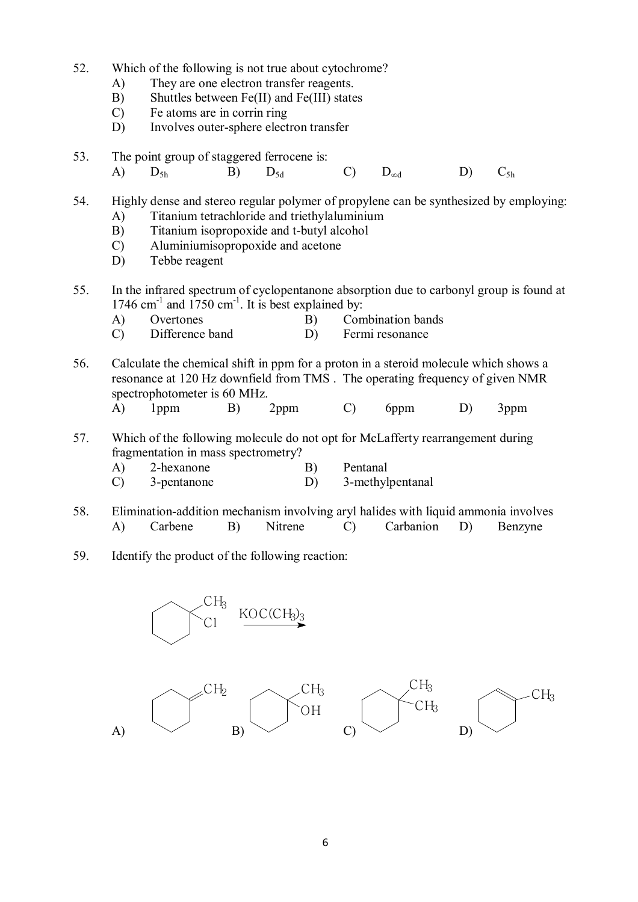- 52. Which of the following is not true about cytochrome?
	- A) They are one electron transfer reagents.
	- B) Shuttles between Fe(II) and Fe(III) states
	- C) Fe atoms are in corrin ring
	- D) Involves outer-sphere electron transfer
- 53. The point group of staggered ferrocene is:
	- A)  $D_{5h}$  B)  $D_{5d}$  C)  $D_{\infty d}$  D)  $C_{5h}$

54. Highly dense and stereo regular polymer of propylene can be synthesized by employing:

- A) Titanium tetrachloride and triethylaluminium
- B) Titanium isopropoxide and t-butyl alcohol
- C) Aluminiumisopropoxide and acetone
- D) Tebbe reagent
- 55. In the infrared spectrum of cyclopentanone absorption due to carbonyl group is found at  $1746$  cm<sup>-1</sup> and  $1750$  cm<sup>-1</sup>. It is best explained by:
	- A) Overtones B) Combination bands
	- C) Difference band D) Fermi resonance
- 56. Calculate the chemical shift in ppm for a proton in a steroid molecule which shows a resonance at 120 Hz downfield from TMS . The operating frequency of given NMR spectrophotometer is 60 MHz.
	- A) 1ppm B) 2ppm C) 6ppm D) 3ppm
- 57. Which of the following molecule do not opt for McLafferty rearrangement during fragmentation in mass spectrometry?
	- A) 2-hexanone B) Pentanal
	- C) 3-pentanone D) 3-methylpentanal
- 58. Elimination-addition mechanism involving aryl halides with liquid ammonia involves A) Carbene B) Nitrene C) Carbanion D) Benzyne
- 59. Identify the product of the following reaction:

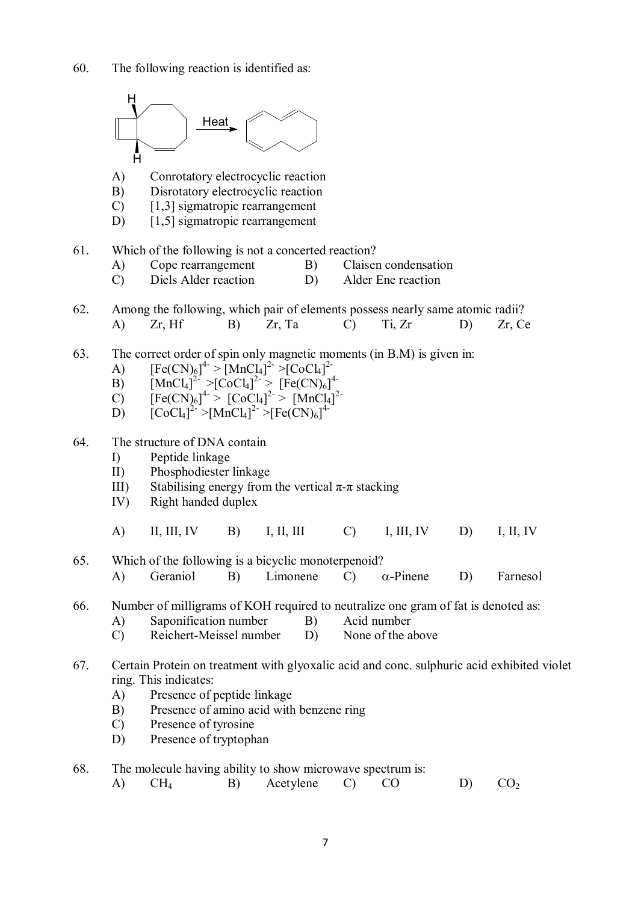

A)  $CH_4$  B) Acetylene C) CO D) CO<sub>2</sub>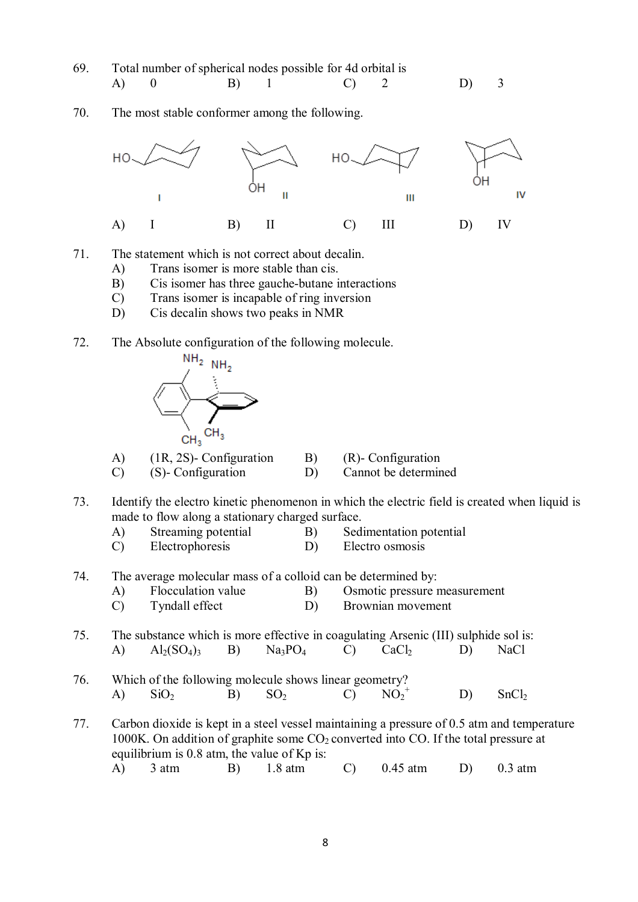- 69. Total number of spherical nodes possible for 4d orbital is A) 0 B) 1 C) 2 D) 3
- 70. The most stable conformer among the following.



- 71. The statement which is not correct about decalin.
	- A) Trans isomer is more stable than cis.
	- B) Cis isomer has three gauche-butane interactions
	- C) Trans isomer is incapable of ring inversion
	- D) Cis decalin shows two peaks in NMR
- 72. The Absolute configuration of the following molecule.



A) (1R, 2S)- Configuration B) (R)- Configuration

- C) (S)- Configuration D) Cannot be determined
- 73. Identify the electro kinetic phenomenon in which the electric field is created when liquid is made to flow along a stationary charged surface.
	- A) Streaming potential B) Sedimentation potential
	- C) Electrophoresis D) Electro osmosis
- 74. The average molecular mass of a colloid can be determined by:
	- A) Flocculation value B) Osmotic pressure measurement
	- C) Tyndall effect D) Brownian movement
- 75. The substance which is more effective in coagulating Arsenic (III) sulphide sol is: A)  $\text{Al}_2(\text{SO}_4)$ <sub>3</sub> B)  $\text{Na}_3\text{PO}_4$  C)  $\text{CaCl}_2$  D) NaCl
- 76. Which of the following molecule shows linear geometry? A)  $\text{SiO}_2$  B)  $\text{SO}_2$  C)  $\text{NO}_2$  $NO_2^+$  D) SnCl<sub>2</sub>

77. Carbon dioxide is kept in a steel vessel maintaining a pressure of 0.5 atm and temperature 1000K. On addition of graphite some  $CO<sub>2</sub>$  converted into CO. If the total pressure at equilibrium is 0.8 atm, the value of Kp is: A) 3 atm B) 1.8 atm C) 0.45 atm D) 0.3 atm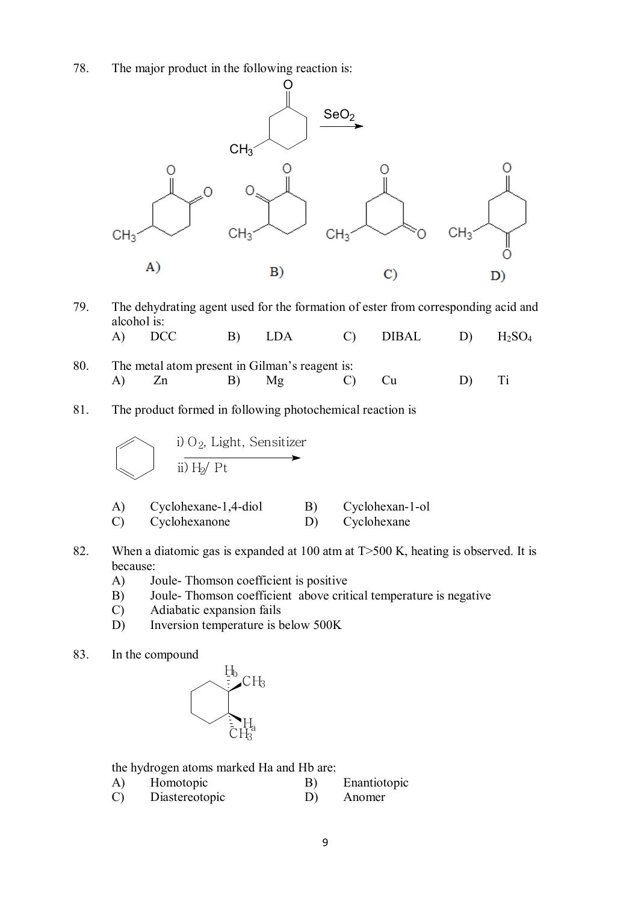78. The major product in the following reaction is:



- 79. The dehydrating agent used for the formation of ester from corresponding acid and alcohol is:<br>A)  $DCC$ A) DCC B) LDA C) DIBAL D)  $H_2SO_4$
- 80. The metal atom present in Gilman's reagent is: A) Zn B) Mg C) Cu D) Ti
- 81. The product formed in following photochemical reaction is

$$
\begin{array}{|c|}\n\hline\n\end{array}\n\quad \text{i) O}_2, \text{ Light, Sensitizer} \rightarrow \text{ii) H}_2 / \text{Pt}
$$

- A) Cyclohexane-1,4-diol B) Cyclohexan-1-ol C) Cyclohexanone D) Cyclohexane
- 82. When a diatomic gas is expanded at 100 atm at T>500 K, heating is observed. It is because:
	- A) Joule- Thomson coefficient is positive
	- B) Joule- Thomson coefficient above critical temperature is negative
	- C) Adiabatic expansion fails
	- D) Inversion temperature is below 500K
- 83. In the compound



the hydrogen atoms marked Ha and Hb are:

- A) Homotopic B) Enantiotopic
- C) Diastereotopic D) Anomer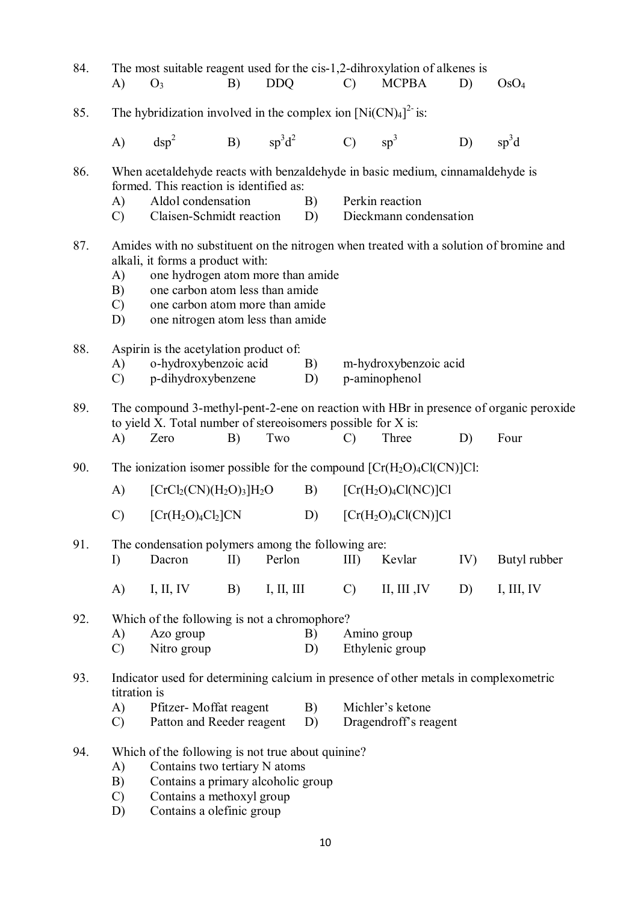| 84. | A)                                                                       | The most suitable reagent used for the cis-1,2-dihroxylation of alkenes is<br>$O_3$                                                                                                                                                                                        | B)        | <b>DDQ</b>   |          | $\mathcal{C}$                                                                                                                     | <b>MCPBA</b>                              | D)  | OsO <sub>4</sub> |  |
|-----|--------------------------------------------------------------------------|----------------------------------------------------------------------------------------------------------------------------------------------------------------------------------------------------------------------------------------------------------------------------|-----------|--------------|----------|-----------------------------------------------------------------------------------------------------------------------------------|-------------------------------------------|-----|------------------|--|
| 85. | The hybridization involved in the complex ion $[Ni(CN)4]^{2}$ is:        |                                                                                                                                                                                                                                                                            |           |              |          |                                                                                                                                   |                                           |     |                  |  |
|     | A)                                                                       | $\rm{dsp}^2$                                                                                                                                                                                                                                                               |           | B) $sp^3d^2$ |          | $\mathcal{C}$ )                                                                                                                   | $sp^3$                                    | D)  | $sp^3d$          |  |
| 86. | A)<br>$\mathcal{C}$                                                      | When acetaldehyde reacts with benzaldehyde in basic medium, cinnamaldehyde is<br>formed. This reaction is identified as:<br>Aldol condensation<br>Claisen-Schmidt reaction                                                                                                 |           |              | B)<br>D) |                                                                                                                                   | Perkin reaction<br>Dieckmann condensation |     |                  |  |
| 87. | A)<br>B)<br>$\mathcal{C}$<br>D)                                          | Amides with no substituent on the nitrogen when treated with a solution of bromine and<br>alkali, it forms a product with:<br>one hydrogen atom more than amide<br>one carbon atom less than amide<br>one carbon atom more than amide<br>one nitrogen atom less than amide |           |              |          |                                                                                                                                   |                                           |     |                  |  |
| 88. | A)<br>$\mathcal{C}$                                                      | Aspirin is the acetylation product of:<br>o-hydroxybenzoic acid<br>p-dihydroxybenzene                                                                                                                                                                                      |           |              | B)<br>D) | m-hydroxybenzoic acid<br>p-aminophenol                                                                                            |                                           |     |                  |  |
| 89. | A)                                                                       | The compound 3-methyl-pent-2-ene on reaction with HBr in presence of organic peroxide<br>to yield X. Total number of stereoisomers possible for X is:<br>Zero<br>Two<br>Three<br>Four<br>B)<br>D)<br>$\mathcal{C}$                                                         |           |              |          |                                                                                                                                   |                                           |     |                  |  |
| 90. | The ionization isomer possible for the compound $[Cr(H_2O)_4Cl(CN)]Cl$ : |                                                                                                                                                                                                                                                                            |           |              |          |                                                                                                                                   |                                           |     |                  |  |
|     | $\mathbf{A}$                                                             | $[CrCl2(CN)(H2O)3]H2O$                                                                                                                                                                                                                                                     |           |              | B)       | $[Cr(H2O)4Cl(NC)]Cl$                                                                                                              |                                           |     |                  |  |
|     | $\mathcal{C}$                                                            | $[Cr(H2O)4Cl2]CN$                                                                                                                                                                                                                                                          |           |              | D)       | $[Cr(H2O)4Cl(CN)]Cl$                                                                                                              |                                           |     |                  |  |
| 91. | I)                                                                       | The condensation polymers among the following are:<br>Dacron                                                                                                                                                                                                               | $\rm{II}$ | Perlon       |          | $III$ )                                                                                                                           | Kevlar                                    | IV) | Butyl rubber     |  |
|     | $\mathbf{A}$                                                             | I, II, IV                                                                                                                                                                                                                                                                  | B)        | I, II, III   |          | $\mathcal{C}$                                                                                                                     | II, III, IV                               | D)  | I, III, IV       |  |
| 92. | A)<br>$\mathcal{C}$                                                      | Which of the following is not a chromophore?<br>Azo group<br>Nitro group                                                                                                                                                                                                   |           |              | B)<br>D) | Amino group<br>Ethylenic group                                                                                                    |                                           |     |                  |  |
| 93. | A)<br>$\mathcal{C}$                                                      | titration is<br>Pfitzer-Moffat reagent<br>B)<br>Patton and Reeder reagent<br>D)                                                                                                                                                                                            |           |              |          | Indicator used for determining calcium in presence of other metals in complexometric<br>Michler's ketone<br>Dragendroff's reagent |                                           |     |                  |  |
| 94. | A)<br>B)<br>$\mathcal{C}$<br>D)                                          | Which of the following is not true about quinine?<br>Contains two tertiary N atoms<br>Contains a primary alcoholic group<br>Contains a methoxyl group<br>Contains a olefinic group                                                                                         |           |              |          |                                                                                                                                   |                                           |     |                  |  |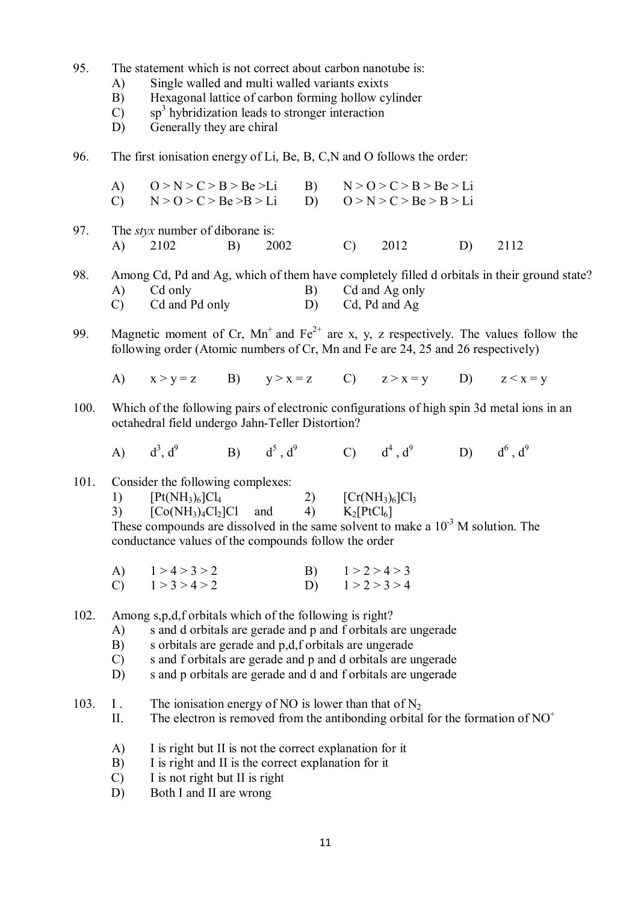- 95. The statement which is not correct about carbon nanotube is:
	- A) Single walled and multi walled variants exixts
	- B) Hexagonal lattice of carbon forming hollow cylinder
	- $(C)$  sp<sup>3</sup> hybridization leads to stronger interaction
	- D) Generally they are chiral
- 96. The first ionisation energy of Li, Be, B, C,N and O follows the order:
	- A)  $Q > N > C > B > Be > Li$  B)  $N > Q > C > B > Be > Li$ C)  $N > 0 > C > Be > B > Li$  D)  $0 > N > C > Be > B > Li$
- 97. The *styx* number of diborane is: A) 2102 B) 2002 C) 2012 D) 2112

98. Among Cd, Pd and Ag, which of them have completely filled d orbitals in their ground state?<br>A) Cd only B) Cd and Ag only A) Cd only B) Cd and Ag only C) Cd and Pd only D) Cd, Pd and Ag

- 99. Magnetic moment of Cr,  $Mn^+$  and Fe<sup>2+</sup> are x, y, z respectively. The values follow the following order (Atomic numbers of Cr, Mn and Fe are 24, 25 and 26 respectively)
	- A)  $x > y = z$  B)  $y > x = z$  C)  $z > x = y$  D)  $z < x = y$
- 100. Which of the following pairs of electronic configurations of high spin 3d metal ions in an octahedral field undergo Jahn-Teller Distortion?
	- $\bf{A}$ )  $\frac{3}{2}$ , d 9 B)  $d^5$ ,  $d^9$  C)  $d^4$ ,  $d^9$  D)  $d^6$ ,  $d^9$

### 101. Consider the following complexes:

| 1) | $[Pt(NH_3)_6]Cl_4$ |     |    | $[Cr(NH3)6]Cl3$ |
|----|--------------------|-----|----|-----------------|
| 3) | $[Co(NH3)4Cl2]Cl$  | and | 4) | $K_2[PtCl_6]$   |

These compounds are dissolved in the same solvent to make a  $10^{-3}$  M solution. The conductance values of the compounds follow the order

| A) $1 > 4 > 3 > 2$ | B) $1 > 2 > 4 > 3$ |
|--------------------|--------------------|
| C) $1 > 3 > 4 > 2$ | D) $1 > 2 > 3 > 4$ |

102. Among s,p,d,f orbitals which of the following is right?

- A) s and d orbitals are gerade and p and f orbitals are ungerade
- B) s orbitals are gerade and p,d,f orbitals are ungerade
- C) s and f orbitals are gerade and p and d orbitals are ungerade
- D) s and p orbitals are gerade and d and f orbitals are ungerade
- 103. I . The ionisation energy of NO is lower than that of  $N_2$ 
	- II. The electron is removed from the antibonding orbital for the formation of  $NO<sup>+</sup>$
	- A) I is right but II is not the correct explanation for it
	- B) I is right and II is the correct explanation for it
	- C) I is not right but II is right
	- D) Both I and II are wrong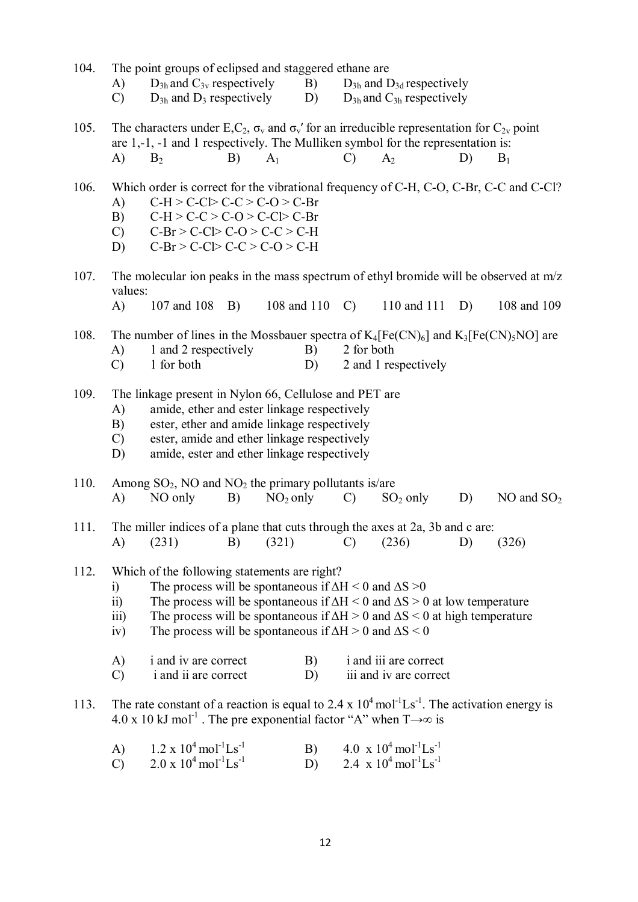| 104. |  |  |  | The point groups of eclipsed and staggered ethane are |  |
|------|--|--|--|-------------------------------------------------------|--|
|------|--|--|--|-------------------------------------------------------|--|

- A)  $D_{3h}$  and  $C_{3v}$  respectively B)  $D_{3h}$  and  $D_{3d}$  respectively
- C)  $D_{3h}$  and  $D_3$  respectively D)  $D_{3h}$  and  $C_{3h}$  respectively
- 105. The characters under E,C<sub>2</sub>,  $\sigma_v$  and  $\sigma_v$ ' for an irreducible representation for C<sub>2v</sub> point are 1,-1, -1 and 1 respectively. The Mulliken symbol for the representation is: A)  $B_2$  B)  $A_1$  C)  $A_2$  D)  $B_1$
- 106. Which order is correct for the vibrational frequency of C-H, C-O, C-Br, C-C and C-Cl? A)  $C-H > C-C$   $>C-C > C-O > C-Br$ 
	- B)  $C-H > C-C > C-O > C-C$   $\triangleright$   $C-Br$
	- C)  $C-Br > C-C$   $>$   $C-O > C-C > C-H$
	- D)  $C-Br > C-C$   $>C-C > C-O > C-H$
- 107. The molecular ion peaks in the mass spectrum of ethyl bromide will be observed at m/z values:
	- A) 107 and 108 B) 108 and 110 C) 110 and 111 D) 108 and 109
- 108. The number of lines in the Mossbauer spectra of  $K_4[Fe(CN)_6]$  and  $K_3[Fe(CN)_5NO]$  are<br>A) 1 and 2 respectively B) 2 for both A) 1 and 2 respectively B)
	- C) 1 for both D) 2 and 1 respectively
- 109. The linkage present in Nylon 66, Cellulose and PET are
	- A) amide, ether and ester linkage respectively
	- B) ester, ether and amide linkage respectively
	- C) ester, amide and ether linkage respectively
	- D) amide, ester and ether linkage respectively
- 110. Among  $SO_2$ , NO and  $NO_2$  the primary pollutants is/are<br>
A) NO only B)  $NO_2$  only C)  $SO_2$  only A) NO only B)  $NO_2$  only C)  $SO_2$  only D) NO and  $SO_2$
- 111. The miller indices of a plane that cuts through the axes at 2a, 3b and c are: A) (231) B) (321) C) (236) D) (326)
- 112. Which of the following statements are right?
	- i) The process will be spontaneous if  $\Delta H < 0$  and  $\Delta S > 0$
	- ii) The process will be spontaneous if  $\Delta H < 0$  and  $\Delta S > 0$  at low temperature
	- iii) The process will be spontaneous if  $\Delta H > 0$  and  $\Delta S < 0$  at high temperature
	- iv) The process will be spontaneous if  $\Delta H > 0$  and  $\Delta S < 0$

| A)            | <i>i</i> and <i>iv</i> are correct | B) | <i>i</i> and <i>iii</i> are correct |
|---------------|------------------------------------|----|-------------------------------------|
| $\mathcal{C}$ | <i>i</i> and <i>ii</i> are correct | D) | iii and iv are correct              |

- 113. The rate constant of a reaction is equal to  $2.4 \times 10^4$  mol<sup>-1</sup>Ls<sup>-1</sup>. The activation energy is 4.0 x 10 kJ mol<sup>-1</sup>. The pre exponential factor "A" when  $T \rightarrow \infty$  is
	- A)  $1.2 \times 10^4 \text{ mol}^{-1} \text{Ls}^{-1}$ Ls<sup>-1</sup> B)  $4.0 \times 10^4 \text{ mol}^{-1} \text{Ls}^{-1}$ C)  $2.0 \times 10^4 \text{ mol}^{-1} \text{Ls}^{-1}$ Ls<sup>-1</sup> D) 2.4 x  $10^4$  mol<sup>-1</sup>Ls<sup>-1</sup>